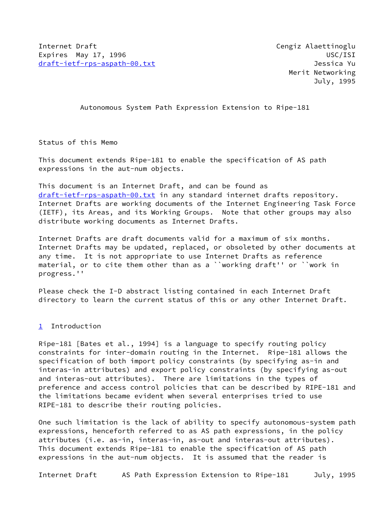Autonomous System Path Expression Extension to Ripe-181

Status of this Memo

This document extends Ripe-181 to enable the specification of AS path expressions in the aut-num objects.

This document is an Internet Draft, and can be found as [draft-ietf-rps-aspath-00.txt](https://datatracker.ietf.org/doc/pdf/draft-ietf-rps-aspath-00.txt) in any standard internet drafts repository. Internet Drafts are working documents of the Internet Engineering Task Force (IETF), its Areas, and its Working Groups. Note that other groups may also distribute working documents as Internet Drafts.

Internet Drafts are draft documents valid for a maximum of six months. Internet Drafts may be updated, replaced, or obsoleted by other documents at any time. It is not appropriate to use Internet Drafts as reference material, or to cite them other than as a ``working draft'' or ``work in progress.''

Please check the I-D abstract listing contained in each Internet Draft directory to learn the current status of this or any other Internet Draft.

## <span id="page-0-0"></span>[1](#page-0-0) Introduction

Ripe-181 [Bates et al., 1994] is a language to specify routing policy constraints for inter-domain routing in the Internet. Ripe-181 allows the specification of both import policy constraints (by specifying as-in and interas-in attributes) and export policy constraints (by specifying as-out and interas-out attributes). There are limitations in the types of preference and access control policies that can be described by RIPE-181 and the limitations became evident when several enterprises tried to use RIPE-181 to describe their routing policies.

One such limitation is the lack of ability to specify autonomous-system path expressions, henceforth referred to as AS path expressions, in the policy attributes (i.e. as-in, interas-in, as-out and interas-out attributes). This document extends Ripe-181 to enable the specification of AS path expressions in the aut-num objects. It is assumed that the reader is

Internet Draft AS Path Expression Extension to Ripe-181 July, 1995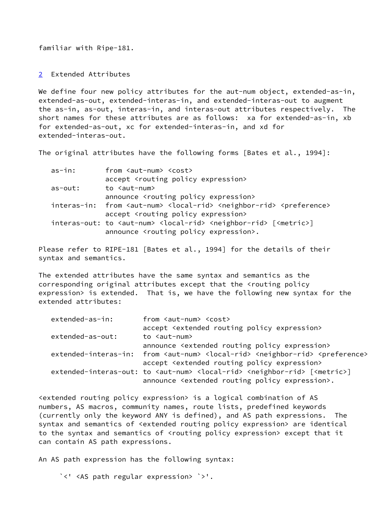familiar with Ripe-181.

<span id="page-1-0"></span>[2](#page-1-0) Extended Attributes

We define four new policy attributes for the aut-num object, extended-as-in, extended-as-out, extended-interas-in, and extended-interas-out to augment the as-in, as-out, interas-in, and interas-out attributes respectively. The short names for these attributes are as follows: xa for extended-as-in, xb for extended-as-out, xc for extended-interas-in, and xd for extended-interas-out.

The original attributes have the following forms [Bates et al., 1994]:

| as-in:     | from <aut-num> <cost></cost></aut-num>                                                                               |
|------------|----------------------------------------------------------------------------------------------------------------------|
|            | accept <routing expression="" policy=""></routing>                                                                   |
| $as$ -out: | to <aut-num></aut-num>                                                                                               |
|            | announce <routing expression="" policy=""></routing>                                                                 |
|            | interas-in: from <aut-num> <local-rid> <neighbor-rid> <preference></preference></neighbor-rid></local-rid></aut-num> |
|            | accept <routing expression="" policy=""></routing>                                                                   |
|            | interas-out: to <aut-num> <local-rid> <neighbor-rid> [<metric>]</metric></neighbor-rid></local-rid></aut-num>        |
|            | announce <routing expression="" policy="">.</routing>                                                                |

Please refer to RIPE-181 [Bates et al., 1994] for the details of their syntax and semantics.

The extended attributes have the same syntax and semantics as the corresponding original attributes except that the <routing policy expression> is extended. That is, we have the following new syntax for the extended attributes:

| extended-as-in:  | from <aut-num> <cost></cost></aut-num>                                                                                        |
|------------------|-------------------------------------------------------------------------------------------------------------------------------|
|                  | accept <extended expression="" policy="" routing=""></extended>                                                               |
| extended-as-out: | to <aut-num></aut-num>                                                                                                        |
|                  | announce <extended expression="" policy="" routing=""></extended>                                                             |
|                  | extended-interas-in: from <aut-num> <local-rid> <neighbor-rid> <preference></preference></neighbor-rid></local-rid></aut-num> |
|                  | accept <extended expression="" policy="" routing=""></extended>                                                               |
|                  | extended-interas-out: to <aut-num> <local-rid> <neighbor-rid> [<metric>]</metric></neighbor-rid></local-rid></aut-num>        |
|                  | announce <extended expression="" policy="" routing="">.</extended>                                                            |

<extended routing policy expression> is a logical combination of AS numbers, AS macros, community names, route lists, predefined keywords (currently only the keyword ANY is defined), and AS path expressions. The syntax and semantics of <extended routing policy expression> are identical to the syntax and semantics of <routing policy expression> except that it can contain AS path expressions.

An AS path expression has the following syntax:

`<' <AS path regular expression> `>'.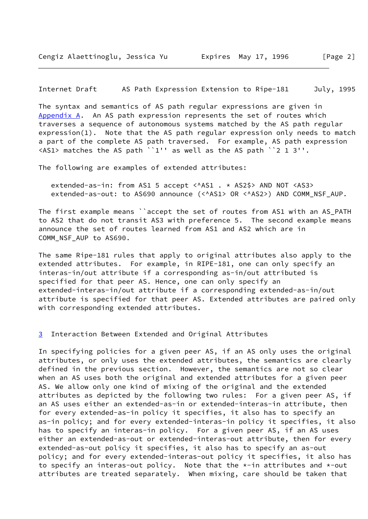Internet Draft AS Path Expression Extension to Ripe-181 July, 1995

<span id="page-2-0"></span>The syntax and semantics of AS path regular expressions are given in [Appendix A.](#page-2-0) An AS path expression represents the set of routes which traverses a sequence of autonomous systems matched by the AS path regular expression(1). Note that the AS path regular expression only needs to match a part of the complete AS path traversed. For example, AS path expression <AS1> matches the AS path ``1'' as well as the AS path ``2 1 3''.

The following are examples of extended attributes:

extended-as-in: from AS1 5 accept <^AS1 . \* AS2\$> AND NOT <AS3> extended-as-out: to AS690 announce (<^AS1> OR <^AS2>) AND COMM\_NSF\_AUP.

The first example means ``accept the set of routes from AS1 with an AS\_PATH to AS2 that do not transit AS3 with preference 5. The second example means announce the set of routes learned from AS1 and AS2 which are in COMM\_NSF\_AUP to AS690.

The same Ripe-181 rules that apply to original attributes also apply to the extended attributes. For example, in RIPE-181, one can only specify an interas-in/out attribute if a corresponding as-in/out attributed is specified for that peer AS. Hence, one can only specify an extended-interas-in/out attribute if a corresponding extended-as-in/out attribute is specified for that peer AS. Extended attributes are paired only with corresponding extended attributes.

<span id="page-2-1"></span>[3](#page-2-1) Interaction Between Extended and Original Attributes

In specifying policies for a given peer AS, if an AS only uses the original attributes, or only uses the extended attributes, the semantics are clearly defined in the previous section. However, the semantics are not so clear when an AS uses both the original and extended attributes for a given peer AS. We allow only one kind of mixing of the original and the extended attributes as depicted by the following two rules: For a given peer AS, if an AS uses either an extended-as-in or extended-interas-in attribute, then for every extended-as-in policy it specifies, it also has to specify an as-in policy; and for every extended-interas-in policy it specifies, it also has to specify an interas-in policy. For a given peer AS, if an AS uses either an extended-as-out or extended-interas-out attribute, then for every extended-as-out policy it specifies, it also has to specify an as-out policy; and for every extended-interas-out policy it specifies, it also has to specify an interas-out policy. Note that the  $*-$ in attributes and  $*-$ out attributes are treated separately. When mixing, care should be taken that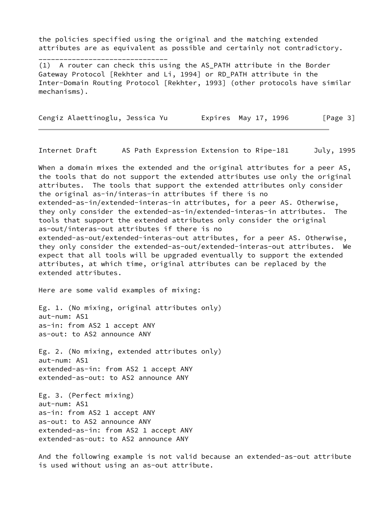the policies specified using the original and the matching extended attributes are as equivalent as possible and certainly not contradictory.

(1) A router can check this using the AS\_PATH attribute in the Border Gateway Protocol [Rekhter and Li, 1994] or RD\_PATH attribute in the Inter-Domain Routing Protocol [Rekhter, 1993] (other protocols have similar mechanisms).

Cengiz Alaettinoglu, Jessica Yu Expires May 17, 1996 [Page 3]

Internet Draft AS Path Expression Extension to Ripe-181 July, 1995

When a domain mixes the extended and the original attributes for a peer AS, the tools that do not support the extended attributes use only the original attributes. The tools that support the extended attributes only consider the original as-in/interas-in attributes if there is no extended-as-in/extended-interas-in attributes, for a peer AS. Otherwise, they only consider the extended-as-in/extended-interas-in attributes. The tools that support the extended attributes only consider the original as-out/interas-out attributes if there is no extended-as-out/extended-interas-out attributes, for a peer AS. Otherwise, they only consider the extended-as-out/extended-interas-out attributes. We expect that all tools will be upgraded eventually to support the extended attributes, at which time, original attributes can be replaced by the extended attributes.

Here are some valid examples of mixing:

\_\_\_\_\_\_\_\_\_\_\_\_\_\_\_\_\_\_\_\_\_\_\_\_\_\_\_\_\_\_\_

Eg. 1. (No mixing, original attributes only) aut-num: AS1 as-in: from AS2 1 accept ANY as-out: to AS2 announce ANY

Eg. 2. (No mixing, extended attributes only) aut-num: AS1 extended-as-in: from AS2 1 accept ANY extended-as-out: to AS2 announce ANY

Eg. 3. (Perfect mixing) aut-num: AS1 as-in: from AS2 1 accept ANY as-out: to AS2 announce ANY extended-as-in: from AS2 1 accept ANY extended-as-out: to AS2 announce ANY

And the following example is not valid because an extended-as-out attribute is used without using an as-out attribute.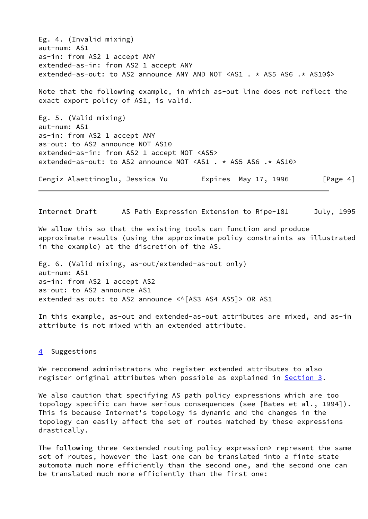Eg. 4. (Invalid mixing) aut-num: AS1 as-in: from AS2 1 accept ANY extended-as-in: from AS2 1 accept ANY extended-as-out: to AS2 announce ANY AND NOT <AS1 . \* AS5 AS6 .\* AS10\$> Note that the following example, in which as-out line does not reflect the exact export policy of AS1, is valid.

Eg. 5. (Valid mixing) aut-num: AS1 as-in: from AS2 1 accept ANY as-out: to AS2 announce NOT AS10 extended-as-in: from AS2 1 accept NOT <AS5> extended-as-out: to AS2 announce NOT <AS1 . \* AS5 AS6 .\* AS10>

Cengiz Alaettinoglu, Jessica Yu Expires May 17, 1996 [Page 4]

Internet Draft AS Path Expression Extension to Ripe-181 July, 1995

We allow this so that the existing tools can function and produce approximate results (using the approximate policy constraints as illustrated in the example) at the discretion of the AS.

Eg. 6. (Valid mixing, as-out/extended-as-out only) aut-num: AS1 as-in: from AS2 1 accept AS2 as-out: to AS2 announce AS1 extended-as-out: to AS2 announce <^[AS3 AS4 AS5]> OR AS1

In this example, as-out and extended-as-out attributes are mixed, and as-in attribute is not mixed with an extended attribute.

## <span id="page-4-0"></span>[4](#page-4-0) Suggestions

We reccomend administrators who register extended attributes to also register original attributes when possible as explained in [Section 3](#page-2-1).

We also caution that specifying AS path policy expressions which are too topology specific can have serious consequences (see [Bates et al., 1994]). This is because Internet's topology is dynamic and the changes in the topology can easily affect the set of routes matched by these expressions drastically.

The following three <extended routing policy expression> represent the same set of routes, however the last one can be translated into a finte state automota much more efficiently than the second one, and the second one can be translated much more efficiently than the first one: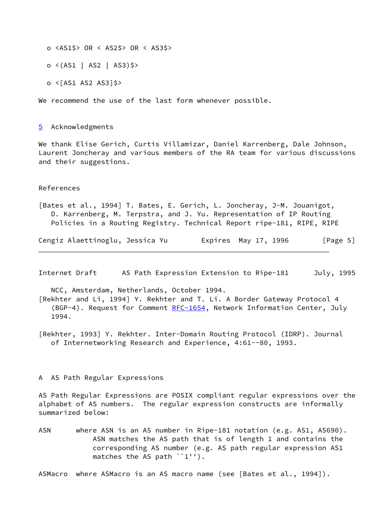o <AS1\$> OR < AS2\$> OR < AS3\$>

o <(AS1 | AS2 | AS3)\$>

o <[AS1 AS2 AS3]\$>

We recommend the use of the last form whenever possible.

<span id="page-5-0"></span>[5](#page-5-0) Acknowledgments

We thank Elise Gerich, Curtis Villamizar, Daniel Karrenberg, Dale Johnson, Laurent Joncheray and various members of the RA team for various discussions and their suggestions.

## References

[Bates et al., 1994] T. Bates, E. Gerich, L. Joncheray, J-M. Jouanigot, D. Karrenberg, M. Terpstra, and J. Yu. Representation of IP Routing Policies in a Routing Registry. Technical Report ripe-181, RIPE, RIPE

Cengiz Alaettinoglu, Jessica Yu Expires May 17, 1996 [Page 5]

Internet Draft AS Path Expression Extension to Ripe-181 July, 1995

NCC, Amsterdam, Netherlands, October 1994.

[Rekhter and Li, 1994] Y. Rekhter and T. Li. A Border Gateway Protocol 4 (BGP-4). Request for Comment [RFC-1654](https://datatracker.ietf.org/doc/pdf/rfc1654), Network Information Center, July 1994.

[Rekhter, 1993] Y. Rekhter. Inter-Domain Routing Protocol (IDRP). Journal of Internetworking Research and Experience, 4:61--80, 1993.

## A AS Path Regular Expressions

AS Path Regular Expressions are POSIX compliant regular expressions over the alphabet of AS numbers. The regular expression constructs are informally summarized below:

ASN where ASN is an AS number in Ripe-181 notation (e.g. AS1, AS690). ASN matches the AS path that is of length 1 and contains the corresponding AS number (e.g. AS path regular expression AS1 matches the AS path ``1'').

ASMacro where ASMacro is an AS macro name (see [Bates et al., 1994]).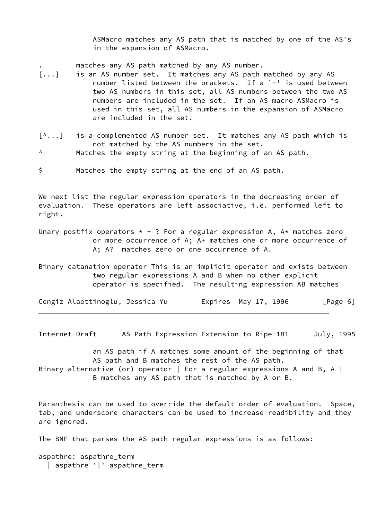ASMacro matches any AS path that is matched by one of the AS's in the expansion of ASMacro.

matches any AS path matched by any AS number.

- [...] is an AS number set. It matches any AS path matched by any AS number listed between the brackets. If a `-' is used between two AS numbers in this set, all AS numbers between the two AS numbers are included in the set. If an AS macro ASMacro is used in this set, all AS numbers in the expansion of ASMacro are included in the set.
- [^...] is a complemented AS number set. It matches any AS path which is not matched by the AS numbers in the set.
- ^ Matches the empty string at the beginning of an AS path.
- \$ Matches the empty string at the end of an AS path.

We next list the regular expression operators in the decreasing order of evaluation. These operators are left associative, i.e. performed left to right.

- Unary postfix operators  $* + ?$  For a regular expression A, A $*$  matches zero or more occurrence of A; A+ matches one or more occurrence of A; A? matches zero or one occurrence of A.
- Binary catanation operator This is an implicit operator and exists between two regular expressions A and B when no other explicit operator is specified. The resulting expression AB matches

| Cengiz Alaettinoglu, Jessica Yu | Expires May 17, 1996 | [Page 6] |
|---------------------------------|----------------------|----------|
|---------------------------------|----------------------|----------|

Internet Draft AS Path Expression Extension to Ripe-181 July, 1995

 an AS path if A matches some amount of the beginning of that AS path and B matches the rest of the AS path. Binary alternative (or) operator | For a regular expressions A and B, A | B matches any AS path that is matched by A or B.

Paranthesis can be used to override the default order of evaluation. Space, tab, and underscore characters can be used to increase readibility and they are ignored.

The BNF that parses the AS path regular expressions is as follows:

aspathre: aspathre\_term | aspathre '|' aspathre\_term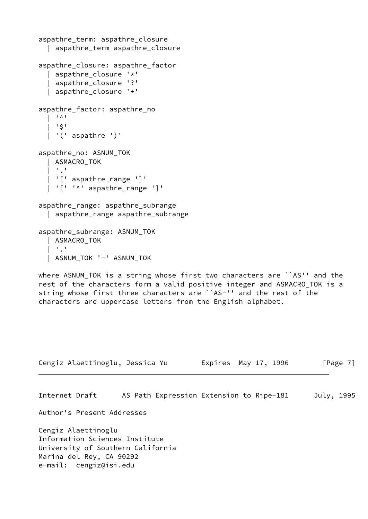```
aspathre_term: aspathre_closure
   | aspathre_term aspathre_closure
aspathre_closure: aspathre_factor
   | aspathre_closure '*'
   | aspathre_closure '?'
   | aspathre_closure '+'
aspathre_factor: aspathre_no
  | ' \wedge '
     | '$'
    | '(' aspathre ')'
aspathre_no: ASNUM_TOK
   | ASMACRO_TOK
  | \cdot | \cdot | | '[' aspathre_range ']'
    | '[' '^' aspathre_range ']'
aspathre_range: aspathre_subrange
   | aspathre_range aspathre_subrange
aspathre_subrange: ASNUM_TOK
   | ASMACRO_TOK
  | | | | | | | ASNUM_TOK '-' ASNUM_TOK
where ASNUM_TOK is a string whose first two characters are ``AS'' and the
rest of the characters form a valid positive integer and ASMACRO_TOK is a
string whose first three characters are ``AS-'' and the rest of the
characters are uppercase letters from the English alphabet.
Cengiz Alaettinoglu, Jessica Yu Expires May 17, 1996 [Page 7]
Internet Draft AS Path Expression Extension to Ripe-181 July, 1995
Author's Present Addresses
Cengiz Alaettinoglu
Information Sciences Institute
University of Southern California
Marina del Rey, CA 90292
```
e-mail: cengiz@isi.edu